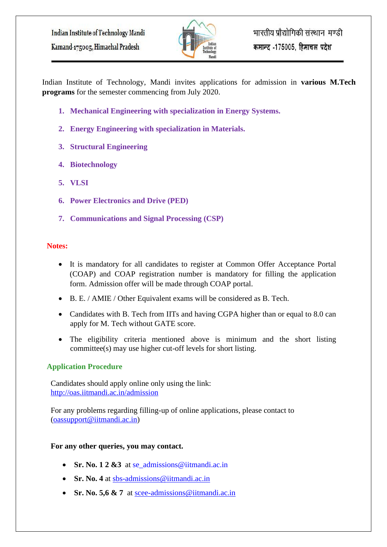

Indian Institute of Technology, Mandi invites applications for admission in **various M.Tech programs** for the semester commencing from July 2020.

- **1. Mechanical Engineering with specialization in Energy Systems.**
- **2. Energy Engineering with specialization in Materials.**
- **3. Structural Engineering**
- **4. Biotechnology**
- **5. VLSI**
- **6. Power Electronics and Drive (PED)**
- **7. Communications and Signal Processing (CSP)**

## **Notes:**

- It is mandatory for all candidates to register at Common Offer Acceptance Portal (COAP) and COAP registration number is mandatory for filling the application form. Admission offer will be made through COAP portal.
- B. E. / AMIE / Other Equivalent exams will be considered as B. Tech.
- Candidates with B. Tech from IITs and having CGPA higher than or equal to 8.0 can apply for M. Tech without GATE score.
- The eligibility criteria mentioned above is minimum and the short listing committee(s) may use higher cut-off levels for short listing.

## **Application Procedure**

Candidates should apply online only using the link: <http://oas.iitmandi.ac.in/admission>

For any problems regarding filling-up of online applications, please contact to [\(oassupport@iitmandi.ac.in\)](mailto:oassupport@iitmandi.ac.in)

## **For any other queries, you may contact.**

- **Sr. No. 1 2 &3** at se admissions@iitmandi.ac.in
- **Sr. No. 4** at [sbs-admissions@iitmandi.ac.in](mailto:sbs-admissions@iitmandi.ac.in)
- **Sr. No. 5,6 & 7** at [scee-admissions@iitmandi.ac.in](mailto:scee-admissions@iitmandi.ac.in)